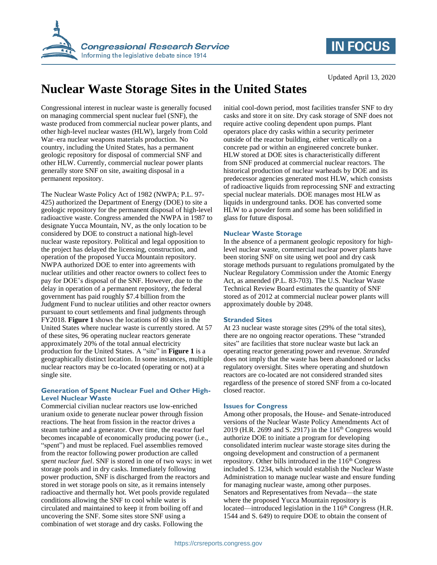

## **IN FOCUS**

# **Nuclear Waste Storage Sites in the United States**

Congressional interest in nuclear waste is generally focused on managing commercial spent nuclear fuel (SNF), the waste produced from commercial nuclear power plants, and other high-level nuclear wastes (HLW), largely from Cold War–era nuclear weapons materials production. No country, including the United States, has a permanent geologic repository for disposal of commercial SNF and other HLW. Currently, commercial nuclear power plants generally store SNF on site, awaiting disposal in a permanent repository.

The Nuclear Waste Policy Act of 1982 (NWPA; P.L. 97- 425) authorized the Department of Energy (DOE) to site a geologic repository for the permanent disposal of high-level radioactive waste. Congress amended the NWPA in 1987 to designate Yucca Mountain, NV, as the only location to be considered by DOE to construct a national high-level nuclear waste repository. Political and legal opposition to the project has delayed the licensing, construction, and operation of the proposed Yucca Mountain repository. NWPA authorized DOE to enter into agreements with nuclear utilities and other reactor owners to collect fees to pay for DOE's disposal of the SNF. However, due to the delay in operation of a permanent repository, the federal government has paid roughly \$7.4 billion from the Judgment Fund to nuclear utilities and other reactor owners pursuant to court settlements and final judgments through FY2018. **[Figure 1](#page-1-0)** shows the locations of 80 sites in the United States where nuclear waste is currently stored. At 57 of these sites, 96 operating nuclear reactors generate approximately 20% of the total annual electricity production for the United States. A "site" in **[Figure 1](#page-1-0)** is a geographically distinct location. In some instances, multiple nuclear reactors may be co-located (operating or not) at a single site.

#### **Generation of Spent Nuclear Fuel and Other High-Level Nuclear Waste**

Commercial civilian nuclear reactors use low-enriched uranium oxide to generate nuclear power through fission reactions. The heat from fission in the reactor drives a steam turbine and a generator. Over time, the reactor fuel becomes incapable of economically producing power (i.e., "spent") and must be replaced. Fuel assemblies removed from the reactor following power production are called *spent nuclear fuel*. SNF is stored in one of two ways: in wet storage pools and in dry casks. Immediately following power production, SNF is discharged from the reactors and stored in wet storage pools on site, as it remains intensely radioactive and thermally hot. Wet pools provide regulated conditions allowing the SNF to cool while water is circulated and maintained to keep it from boiling off and uncovering the SNF. Some sites store SNF using a combination of wet storage and dry casks. Following the

initial cool-down period, most facilities transfer SNF to dry casks and store it on site. Dry cask storage of SNF does not require active cooling dependent upon pumps. Plant operators place dry casks within a security perimeter outside of the reactor building, either vertically on a concrete pad or within an engineered concrete bunker. HLW stored at DOE sites is characteristically different from SNF produced at commercial nuclear reactors. The historical production of nuclear warheads by DOE and its predecessor agencies generated most HLW, which consists of radioactive liquids from reprocessing SNF and extracting special nuclear materials. DOE manages most HLW as liquids in underground tanks. DOE has converted some HLW to a powder form and some has been solidified in glass for future disposal.

#### **Nuclear Waste Storage**

In the absence of a permanent geologic repository for highlevel nuclear waste, commercial nuclear power plants have been storing SNF on site using wet pool and dry cask storage methods pursuant to regulations promulgated by the Nuclear Regulatory Commission under the Atomic Energy Act, as amended (P.L. 83-703). The U.S. Nuclear Waste Technical Review Board estimates the quantity of SNF stored as of 2012 at commercial nuclear power plants will approximately double by 2048.

#### **Stranded Sites**

At 23 nuclear waste storage sites (29% of the total sites), there are no ongoing reactor operations. These "stranded sites" are facilities that store nuclear waste but lack an operating reactor generating power and revenue. *Stranded* does not imply that the waste has been abandoned or lacks regulatory oversight. Sites where operating and shutdown reactors are co-located are not considered stranded sites regardless of the presence of stored SNF from a co-located closed reactor.

#### **Issues for Congress**

Among other proposals, the House- and Senate-introduced versions of the Nuclear Waste Policy Amendments Act of 2019 (H.R. 2699 and S. 2917) in the  $116<sup>th</sup>$  Congress would authorize DOE to initiate a program for developing consolidated interim nuclear waste storage sites during the ongoing development and construction of a permanent repository. Other bills introduced in the  $116<sup>th</sup>$  Congress included S. 1234, which would establish the Nuclear Waste Administration to manage nuclear waste and ensure funding for managing nuclear waste, among other purposes. Senators and Representatives from Nevada—the state where the proposed Yucca Mountain repository is located—introduced legislation in the  $116<sup>th</sup>$  Congress (H.R. 1544 and S. 649) to require DOE to obtain the consent of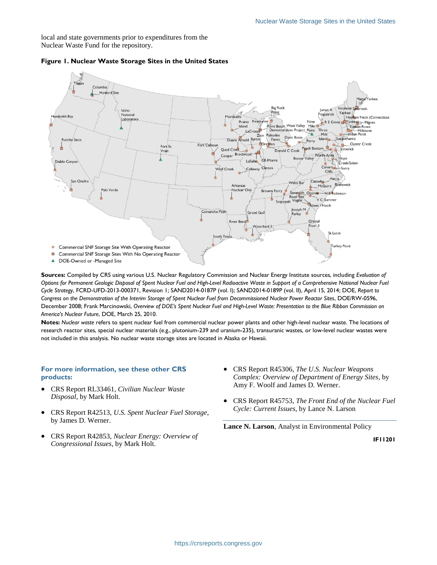local and state governments prior to expenditures from the Nuclear Waste Fund for the repository.



#### <span id="page-1-0"></span>**Figure 1. Nuclear Waste Storage Sites in the United States**

**Sources:** Compiled by CRS using various U.S. Nuclear Regulatory Commission and Nuclear Energy Institute sources, including *Evaluation of Options for Permanent Geologic Disposal of Spent Nuclear Fuel and High-Level Radioactive Waste in Support of a Comprehensive National Nuclear Fuel Cycle Strategy*, FCRD-UFD-2013-000371, Revision 1; SAND2014-0187P (vol. I); SAND2014-0189P (vol. II), April 15, 2014; DOE, *Report to Congress on the Demonstration of the Interim Storage of Spent Nuclear Fuel from Decommissioned Nuclear Power Reactor Sites*, DOE/RW-0596, December 2008; Frank Marcinowski, *Overview of DOE's Spent Nuclear Fuel and High-Level Waste: Presentation to the Blue Ribbon Commission on America's Nuclear Future*, DOE, March 25, 2010.

**Notes:** *Nuclear waste* refers to spent nuclear fuel from commercial nuclear power plants and other high-level nuclear waste. The locations of research reactor sites, special nuclear materials (e.g., plutonium-239 and uranium-235), transuranic wastes, or low-level nuclear wastes were not included in this analysis. No nuclear waste storage sites are located in Alaska or Hawaii.

#### **For more information, see these other CRS products:**

- CRS Report RL33461, *Civilian Nuclear Waste Disposal*, by Mark Holt.
- CRS Report R42513, *U.S. Spent Nuclear Fuel Storage*, by James D. Werner.
- CRS Report R42853, *Nuclear Energy: Overview of Congressional Issues*, by Mark Holt.
- CRS Report R45306, *The U.S. Nuclear Weapons Complex: Overview of Department of Energy Sites*, by Amy F. Woolf and James D. Werner.
- CRS Report R45753, *The Front End of the Nuclear Fuel Cycle: Current Issues*, by Lance N. Larson

**Lance N. Larson**, Analyst in Environmental Policy

**IF11201**